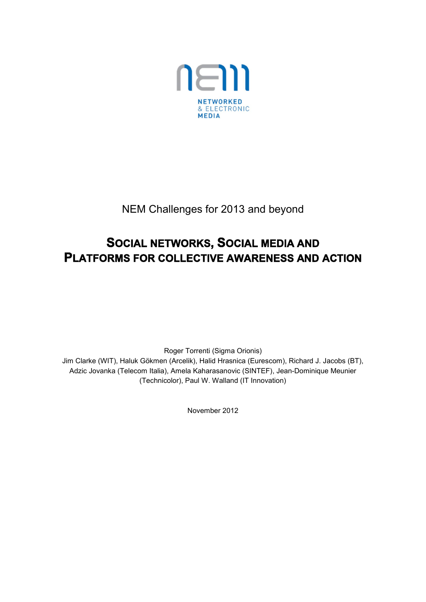

NEM Challenges for 2013 and beyond

# **SOCIAL NETWORKS, SOCIAL MEDIA AND PLATFORMS FOR COLLECTIVE AWARENESS AND ACTION**

Roger Torrenti (Sigma Orionis) Jim Clarke (WIT), Haluk Gökmen (Arcelik), Halid Hrasnica (Eurescom), Richard J. Jacobs (BT), Adzic Jovanka (Telecom Italia), Amela Kaharasanovic (SINTEF), Jean-Dominique Meunier (Technicolor), Paul W. Walland (IT Innovation)

November 2012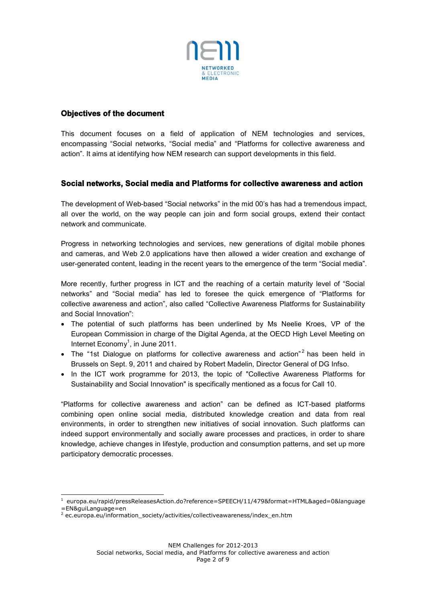

# **Objectives of the document**

This document focuses on a field of application of NEM technologies and services, encompassing "Social networks, "Social media" and "Platforms for collective awareness and action". It aims at identifying how NEM research can support developments in this field.

# **Social networks, Social media and Platforms for collective awareness and action**

The development of Web-based "Social networks" in the mid 00's has had a tremendous impact, all over the world, on the way people can join and form social groups, extend their contact network and communicate.

Progress in networking technologies and services, new generations of digital mobile phones and cameras, and Web 2.0 applications have then allowed a wider creation and exchange of user-generated content, leading in the recent years to the emergence of the term "Social media".

More recently, further progress in ICT and the reaching of a certain maturity level of "Social networks" and "Social media" has led to foresee the quick emergence of "Platforms for collective awareness and action", also called "Collective Awareness Platforms for Sustainability and Social Innovation":

- The potential of such platforms has been underlined by Ms Neelie Kroes, VP of the European Commission in charge of the Digital Agenda, at the OECD High Level Meeting on Internet Economy $<sup>1</sup>$ , in June 2011.</sup>
- The "1st Dialogue on platforms for collective awareness and action"<sup>2</sup> has been held in Brussels on Sept. 9, 2011 and chaired by Robert Madelin, Director General of DG Infso.
- In the ICT work programme for 2013, the topic of "Collective Awareness Platforms for Sustainability and Social Innovation" is specifically mentioned as a focus for Call 10.

"Platforms for collective awareness and action" can be defined as ICT-based platforms combining open online social media, distributed knowledge creation and data from real environments, in order to strengthen new initiatives of social innovation. Such platforms can indeed support environmentally and socially aware processes and practices, in order to share knowledge, achieve changes in lifestyle, production and consumption patterns, and set up more participatory democratic processes.

l <sup>1</sup> europa.eu/rapid/pressReleasesAction.do?reference=SPEECH/11/479&format=HTML&aged=0&language =EN&guiLanguage=en

<sup>2</sup> ec.europa.eu/information\_society/activities/collectiveawareness/index\_en.htm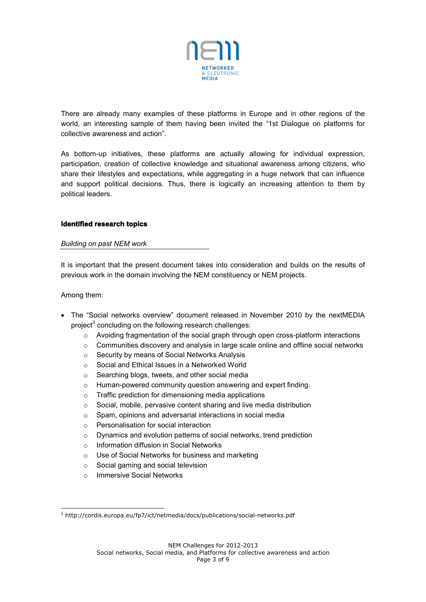

There are already many examples of these platforms in Europe and in other regions of the world, an interesting sample of them having been invited the "1st Dialogue on platforms for collective awareness and action".

As bottom-up initiatives, these platforms are actually allowing for individual expression, participation, creation of collective knowledge and situational awareness among citizens, who share their lifestyles and expectations, while aggregating in a huge network that can influence and support political decisions. Thus, there is logically an increasing attention to them by political leaders.

# **Identified research topics**

## *Building on past NEM work*

It is important that the present document takes into consideration and builds on the results of previous work in the domain involving the NEM constituency or NEM projects.

Among them:

- The "Social networks overview" document released in November 2010 by the nextMEDIA project<sup>3</sup> concluding on the following research challenges:
	- $\circ$  Avoiding fragmentation of the social graph through open cross-platform interactions
	- $\circ$  Communities discovery and analysis in large scale online and offline social networks
	- o Security by means of Social Networks Analysis
	- o Social and Ethical Issues in a Networked World
	- o Searching blogs, tweets, and other social media
	- o Human-powered community question answering and expert finding.
	- o Traffic prediction for dimensioning media applications
	- o Social, mobile, pervasive content sharing and live media distribution
	- o Spam, opinions and adversarial interactions in social media
	- o Personalisation for social interaction
	- o Dynamics and evolution patterns of social networks, trend prediction
	- o Information diffusion in Social Networks
	- o Use of Social Networks for business and marketing
	- o Social gaming and social television
	- o Immersive Social Networks

l <sup>3</sup> http://cordis.europa.eu/fp7/ict/netmedia/docs/publications/social-networks.pdf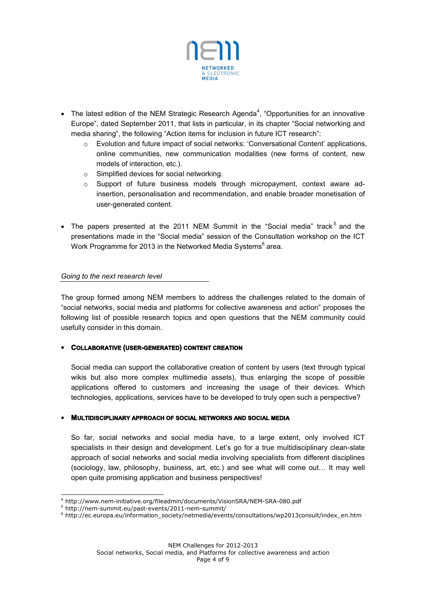

- The latest edition of the NEM Strategic Research Agenda<sup>4</sup>, "Opportunities for an innovative Europe", dated September 2011, that lists in particular, in its chapter "Social networking and media sharing", the following "Action items for inclusion in future ICT research":
	- o Evolution and future impact of social networks: 'Conversational Content' applications, online communities, new communication modalities (new forms of content, new models of interaction, etc.).
	- o Simplified devices for social networking.
	- $\circ$  Support of future business models through micropayment, context aware adinsertion, personalisation and recommendation, and enable broader monetisation of user‐generated content.
- The papers presented at the 2011 NEM Summit in the "Social media" track<sup>5</sup> and the presentations made in the "Social media" session of the Consultation workshop on the ICT Work Programme for 2013 in the Networked Media Systems<sup>6</sup> area.

*Going to the next research level*

The group formed among NEM members to address the challenges related to the domain of "social networks, social media and platforms for collective awareness and action" proposes the following list of possible research topics and open questions that the NEM community could usefully consider in this domain.

# **COLLABORATIVE (USER-GENERATED) CONTENT CREATION**

Social media can support the collaborative creation of content by users (text through typical wikis but also more complex multimedia assets), thus enlarging the scope of possible applications offered to customers and increasing the usage of their devices. Which technologies, applications, services have to be developed to truly open such a perspective?

## **MULTIDISCIPLINARY APPROACH OF SOCIAL NETWORKS AND SOCIAL MEDIA**

So far, social networks and social media have, to a large extent, only involved ICT specialists in their design and development. Let's go for a true multidisciplinary clean-slate approach of social networks and social media involving specialists from different disciplines (sociology, law, philosophy, business, art, etc.) and see what will come out… It may well open quite promising application and business perspectives!

l

NEM Challenges for 2012-2013

<sup>4</sup> http://www.nem-initiative.org/fileadmin/documents/VisionSRA/NEM-SRA-080.pdf

<sup>5</sup> http://nem-summit.eu/past-events/2011-nem-summit/

<sup>6</sup> http://ec.europa.eu/information\_society/netmedia/events/consultations/wp2013consult/index\_en.htm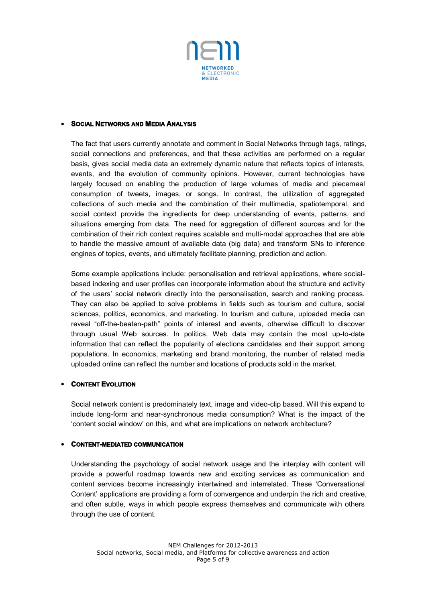

#### **SOCIAL NETWORKS AND MEDIA ANALYSIS**

The fact that users currently annotate and comment in Social Networks through tags, ratings, social connections and preferences, and that these activities are performed on a regular basis, gives social media data an extremely dynamic nature that reflects topics of interests, events, and the evolution of community opinions. However, current technologies have largely focused on enabling the production of large volumes of media and piecemeal consumption of tweets, images, or songs. In contrast, the utilization of aggregated collections of such media and the combination of their multimedia, spatiotemporal, and social context provide the ingredients for deep understanding of events, patterns, and situations emerging from data. The need for aggregation of different sources and for the combination of their rich context requires scalable and multi-modal approaches that are able to handle the massive amount of available data (big data) and transform SNs to inference engines of topics, events, and ultimately facilitate planning, prediction and action.

Some example applications include: personalisation and retrieval applications, where socialbased indexing and user profiles can incorporate information about the structure and activity of the users' social network directly into the personalisation, search and ranking process. They can also be applied to solve problems in fields such as tourism and culture, social sciences, politics, economics, and marketing. In tourism and culture, uploaded media can reveal "off-the-beaten-path" points of interest and events, otherwise difficult to discover through usual Web sources. In politics, Web data may contain the most up-to-date information that can reflect the popularity of elections candidates and their support among populations. In economics, marketing and brand monitoring, the number of related media uploaded online can reflect the number and locations of products sold in the market.

## **CONTENT EVOLUTION**

Social network content is predominately text, image and video-clip based. Will this expand to include long-form and near-synchronous media consumption? What is the impact of the 'content social window' on this, and what are implications on network architecture?

#### **CONTENT-MEDIATED COMMUNICATION**

Understanding the psychology of social network usage and the interplay with content will provide a powerful roadmap towards new and exciting services as communication and content services become increasingly intertwined and interrelated. These 'Conversational Content' applications are providing a form of convergence and underpin the rich and creative, and often subtle, ways in which people express themselves and communicate with others through the use of content.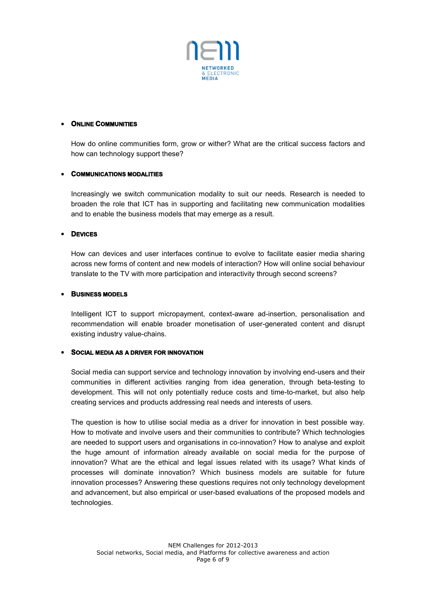

## **ONLINE COMMUNITIES**

How do online communities form, grow or wither? What are the critical success factors and how can technology support these?

### **COMMUNICATIONS MODALITIES**

Increasingly we switch communication modality to suit our needs. Research is needed to broaden the role that ICT has in supporting and facilitating new communication modalities and to enable the business models that may emerge as a result.

### **DEVICES**

How can devices and user interfaces continue to evolve to facilitate easier media sharing across new forms of content and new models of interaction? How will online social behaviour translate to the TV with more participation and interactivity through second screens?

### **BUSINESS MODELS**

Intelligent ICT to support micropayment, context-aware ad-insertion, personalisation and recommendation will enable broader monetisation of user-generated content and disrupt existing industry value-chains.

#### **SOCIAL MEDIA AS A DRIVER FOR INNOVATION**

Social media can support service and technology innovation by involving end-users and their communities in different activities ranging from idea generation, through beta-testing to development. This will not only potentially reduce costs and time-to-market, but also help creating services and products addressing real needs and interests of users.

The question is how to utilise social media as a driver for innovation in best possible way. How to motivate and involve users and their communities to contribute? Which technologies are needed to support users and organisations in co-innovation? How to analyse and exploit the huge amount of information already available on social media for the purpose of innovation? What are the ethical and legal issues related with its usage? What kinds of processes will dominate innovation? Which business models are suitable for future innovation processes? Answering these questions requires not only technology development and advancement, but also empirical or user-based evaluations of the proposed models and technologies.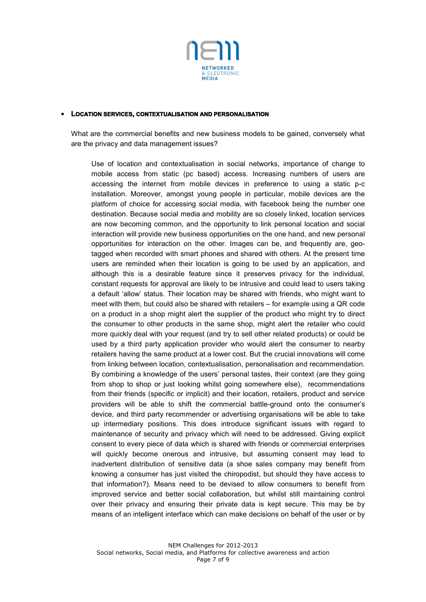

#### **LOCATION SERVICES, CONTEXTUALISATION AND PERSONALISATION**

What are the commercial benefits and new business models to be gained, conversely what are the privacy and data management issues?

Use of location and contextualisation in social networks, importance of change to mobile access from static (pc based) access. Increasing numbers of users are accessing the internet from mobile devices in preference to using a static p-c installation. Moreover, amongst young people in particular, mobile devices are the platform of choice for accessing social media, with facebook being the number one destination. Because social media and mobility are so closely linked, location services are now becoming common, and the opportunity to link personal location and social interaction will provide new business opportunities on the one hand, and new personal opportunities for interaction on the other. Images can be, and frequently are, geotagged when recorded with smart phones and shared with others. At the present time users are reminded when their location is going to be used by an application, and although this is a desirable feature since it preserves privacy for the individual, constant requests for approval are likely to be intrusive and could lead to users taking a default 'allow' status. Their location may be shared with friends, who might want to meet with them, but could also be shared with retailers – for example using a QR code on a product in a shop might alert the supplier of the product who might try to direct the consumer to other products in the same shop, might alert the retailer who could more quickly deal with your request (and try to sell other related products) or could be used by a third party application provider who would alert the consumer to nearby retailers having the same product at a lower cost. But the crucial innovations will come from linking between location, contextualisation, personalisation and recommendation. By combining a knowledge of the users' personal tastes, their context (are they going from shop to shop or just looking whilst going somewhere else), recommendations from their friends (specific or implicit) and their location, retailers, product and service providers will be able to shift the commercial battle-ground onto the consumer's device, and third party recommender or advertising organisations will be able to take up intermediary positions. This does introduce significant issues with regard to maintenance of security and privacy which will need to be addressed. Giving explicit consent to every piece of data which is shared with friends or commercial enterprises will quickly become onerous and intrusive, but assuming consent may lead to inadvertent distribution of sensitive data (a shoe sales company may benefit from knowing a consumer has just visited the chiropodist, but should they have access to that information?). Means need to be devised to allow consumers to benefit from improved service and better social collaboration, but whilst still maintaining control over their privacy and ensuring their private data is kept secure. This may be by means of an intelligent interface which can make decisions on behalf of the user or by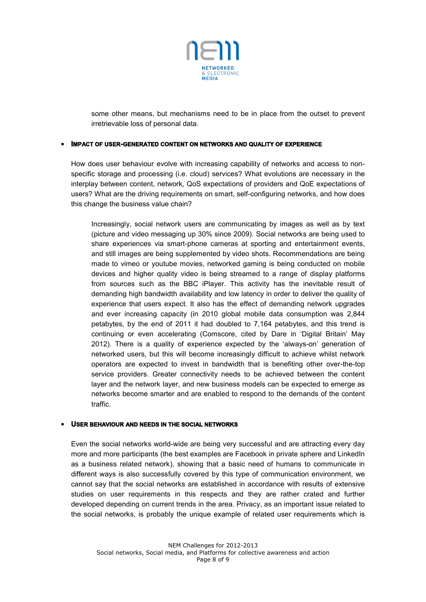

some other means, but mechanisms need to be in place from the outset to prevent irretrievable loss of personal data.

### **IMPACT OF USER-GENERATED CONTENT ON NETWORKS AND QUALITY OF EXPERIENCE**

How does user behaviour evolve with increasing capability of networks and access to nonspecific storage and processing (i.e. cloud) services? What evolutions are necessary in the interplay between content, network, QoS expectations of providers and QoE expectations of users? What are the driving requirements on smart, self-configuring networks, and how does this change the business value chain?

Increasingly, social network users are communicating by images as well as by text (picture and video messaging up 30% since 2009). Social networks are being used to share experiences via smart-phone cameras at sporting and entertainment events, and still images are being supplemented by video shots. Recommendations are being made to vimeo or youtube movies, networked gaming is being conducted on mobile devices and higher quality video is being streamed to a range of display platforms from sources such as the BBC iPlayer. This activity has the inevitable result of demanding high bandwidth availability and low latency in order to deliver the quality of experience that users expect. It also has the effect of demanding network upgrades and ever increasing capacity (in 2010 global mobile data consumption was 2,844 petabytes, by the end of 2011 it had doubled to 7,164 petabytes, and this trend is continuing or even accelerating (Comscore, cited by Dare in 'Digital Britain' May 2012). There is a quality of experience expected by the 'always-on' generation of networked users, but this will become increasingly difficult to achieve whilst network operators are expected to invest in bandwidth that is benefiting other over-the-top service providers. Greater connectivity needs to be achieved between the content layer and the network layer, and new business models can be expected to emerge as networks become smarter and are enabled to respond to the demands of the content traffic.

#### **USER BEHAVIOUR AND NEEDS IN THE SOCIAL NETWORKS**

Even the social networks world-wide are being very successful and are attracting every day more and more participants (the best examples are Facebook in private sphere and LinkedIn as a business related network), showing that a basic need of humans to communicate in different ways is also successfully covered by this type of communication environment, we cannot say that the social networks are established in accordance with results of extensive studies on user requirements in this respects and they are rather crated and further developed depending on current trends in the area. Privacy, as an important issue related to the social networks, is probably the unique example of related user requirements which is